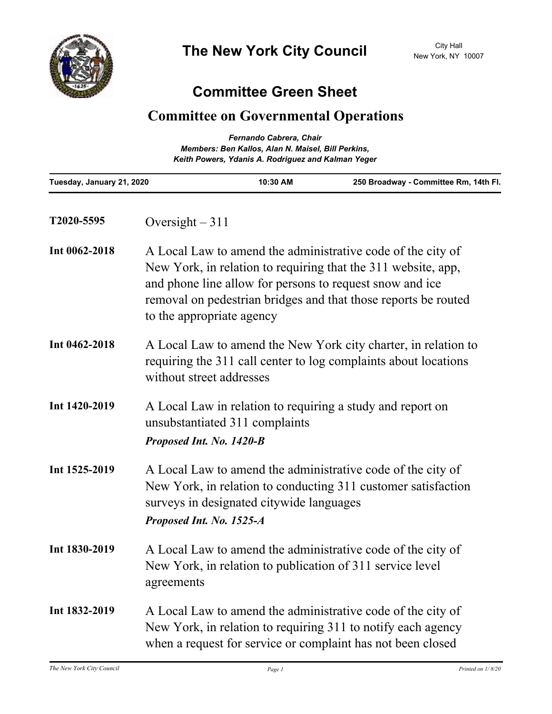

## **Committee Green Sheet**

## **Committee on Governmental Operations**

| Fernando Cabrera, Chair<br>Members: Ben Kallos, Alan N. Maisel, Bill Perkins,<br>Keith Powers, Ydanis A. Rodriguez and Kalman Yeger |                                                                                                                                                                                                                                                                                         |          |                                       |
|-------------------------------------------------------------------------------------------------------------------------------------|-----------------------------------------------------------------------------------------------------------------------------------------------------------------------------------------------------------------------------------------------------------------------------------------|----------|---------------------------------------|
| Tuesday, January 21, 2020                                                                                                           |                                                                                                                                                                                                                                                                                         | 10:30 AM | 250 Broadway - Committee Rm, 14th Fl. |
| T2020-5595                                                                                                                          | Oversight $-311$                                                                                                                                                                                                                                                                        |          |                                       |
| Int 0062-2018                                                                                                                       | A Local Law to amend the administrative code of the city of<br>New York, in relation to requiring that the 311 website, app,<br>and phone line allow for persons to request snow and ice<br>removal on pedestrian bridges and that those reports be routed<br>to the appropriate agency |          |                                       |
| Int 0462-2018                                                                                                                       | A Local Law to amend the New York city charter, in relation to<br>requiring the 311 call center to log complaints about locations<br>without street addresses                                                                                                                           |          |                                       |
| Int 1420-2019                                                                                                                       | A Local Law in relation to requiring a study and report on<br>unsubstantiated 311 complaints<br>Proposed Int. No. 1420-B                                                                                                                                                                |          |                                       |
| Int 1525-2019                                                                                                                       | A Local Law to amend the administrative code of the city of<br>New York, in relation to conducting 311 customer satisfaction<br>surveys in designated citywide languages<br>Proposed Int. No. 1525-A                                                                                    |          |                                       |
| Int 1830-2019                                                                                                                       | A Local Law to amend the administrative code of the city of<br>New York, in relation to publication of 311 service level<br>agreements                                                                                                                                                  |          |                                       |
| Int 1832-2019                                                                                                                       | A Local Law to amend the administrative code of the city of<br>New York, in relation to requiring 311 to notify each agency<br>when a request for service or complaint has not been closed                                                                                              |          |                                       |